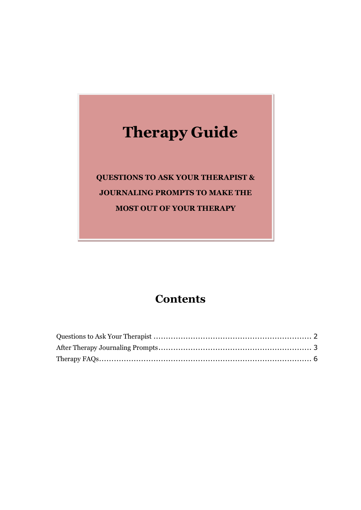# **Therapy Guide**

**QUESTIONS TO ASK YOUR THERAPIST & JOURNALING PROMPTS TO MAKE THE MOST OUT OF YOUR THERAPY**

#### **Contents**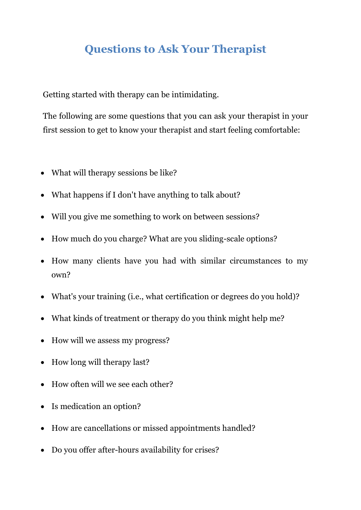### <span id="page-1-0"></span>**Questions to Ask Your Therapist**

Getting started with therapy can be intimidating.

The following are some questions that you can ask your therapist in your first session to get to know your therapist and start feeling comfortable:

- What will therapy sessions be like?
- What happens if I don't have anything to talk about?
- Will you give me something to work on between sessions?
- How much do you charge? What are you sliding-scale options?
- How many clients have you had with similar circumstances to my own?
- What's your training (i.e., what certification or degrees do you hold)?
- What kinds of treatment or therapy do you think might help me?
- How will we assess my progress?
- How long will therapy last?
- How often will we see each other?
- Is medication an option?
- How are cancellations or missed appointments handled?
- Do you offer after-hours availability for crises?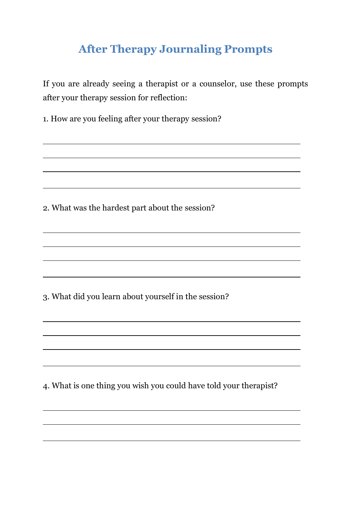### <span id="page-2-0"></span>**After Therapy Journaling Prompts**

If you are already seeing a therapist or a counselor, use these prompts after your therapy session for reflection:

1. How are you feeling after your therapy session?

2. What was the hardest part about the session?

3. What did you learn about yourself in the session?

4. What is one thing you wish you could have told your therapist?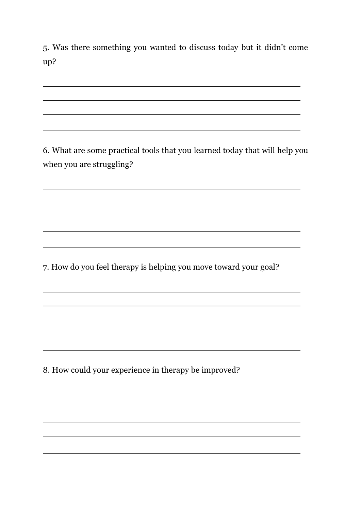5. Was there something you wanted to discuss today but it didn't come up?

6. What are some practical tools that you learned today that will help you when you are struggling?

<u> 1989 - Johann Stoff, deutscher Stoffen und der Stoffen und der Stoffen und der Stoffen und der Stoffen und de</u>

7. How do you feel therapy is helping you move toward your goal?

8. How could your experience in therapy be improved?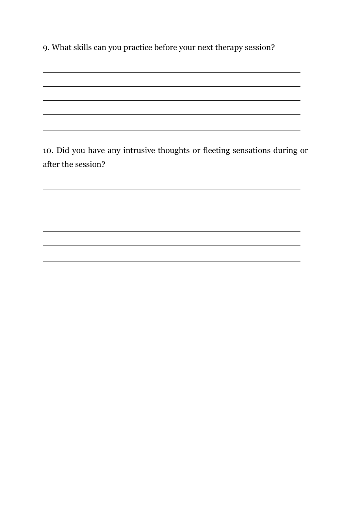9. What skills can you practice before your next therapy session?

10. Did you have any intrusive thoughts or fleeting sensations during or after the session?

<u> 1989 - Johann Stoff, deutscher Stoffen und der Stoffen und der Stoffen und der Stoffen und der Stoffen und de</u>

÷.